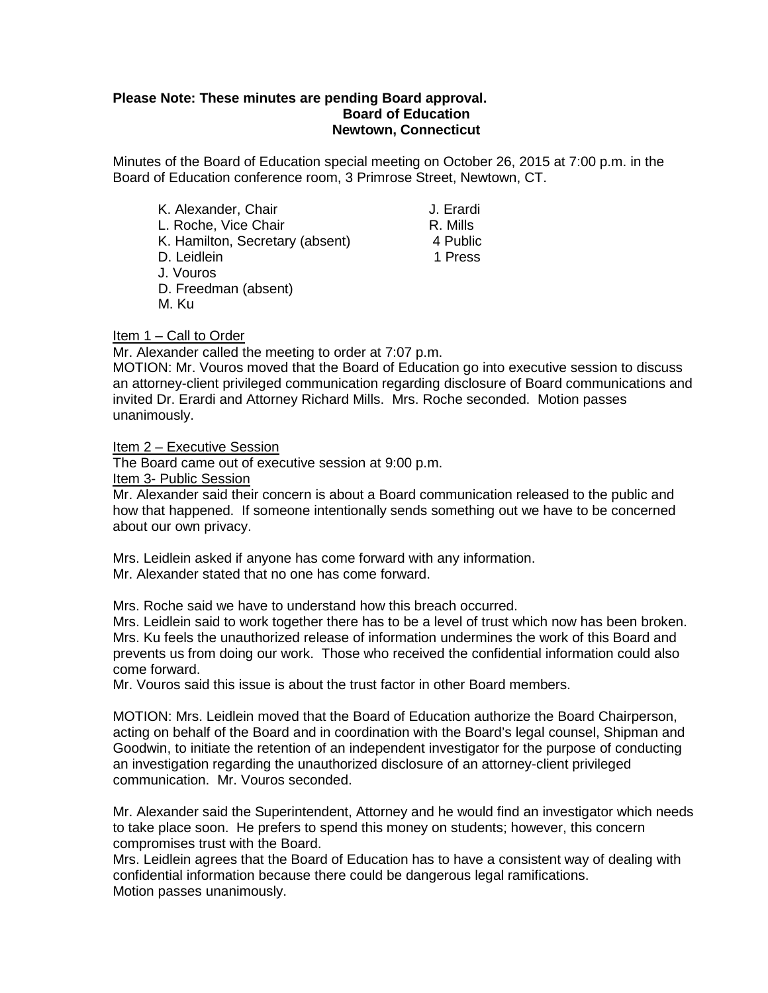## **Please Note: These minutes are pending Board approval. Board of Education Newtown, Connecticut**

Minutes of the Board of Education special meeting on October 26, 2015 at 7:00 p.m. in the Board of Education conference room, 3 Primrose Street, Newtown, CT.

| K. Alexander, Chair             | J. Erardi |
|---------------------------------|-----------|
| L. Roche, Vice Chair            | R. Mills  |
| K. Hamilton, Secretary (absent) | 4 Public  |
| D. Leidlein                     | 1 Press   |
| J. Vouros                       |           |
| D. Freedman (absent)            |           |
| M. Ku                           |           |
|                                 |           |

Item 1 – Call to Order

Mr. Alexander called the meeting to order at 7:07 p.m.

MOTION: Mr. Vouros moved that the Board of Education go into executive session to discuss an attorney-client privileged communication regarding disclosure of Board communications and invited Dr. Erardi and Attorney Richard Mills. Mrs. Roche seconded. Motion passes unanimously.

Item 2 – Executive Session

The Board came out of executive session at 9:00 p.m.

Item 3- Public Session

Mr. Alexander said their concern is about a Board communication released to the public and how that happened. If someone intentionally sends something out we have to be concerned about our own privacy.

Mrs. Leidlein asked if anyone has come forward with any information. Mr. Alexander stated that no one has come forward.

Mrs. Roche said we have to understand how this breach occurred.

Mrs. Leidlein said to work together there has to be a level of trust which now has been broken. Mrs. Ku feels the unauthorized release of information undermines the work of this Board and prevents us from doing our work. Those who received the confidential information could also come forward.

Mr. Vouros said this issue is about the trust factor in other Board members.

MOTION: Mrs. Leidlein moved that the Board of Education authorize the Board Chairperson, acting on behalf of the Board and in coordination with the Board's legal counsel, Shipman and Goodwin, to initiate the retention of an independent investigator for the purpose of conducting an investigation regarding the unauthorized disclosure of an attorney-client privileged communication. Mr. Vouros seconded.

Mr. Alexander said the Superintendent, Attorney and he would find an investigator which needs to take place soon. He prefers to spend this money on students; however, this concern compromises trust with the Board.

Mrs. Leidlein agrees that the Board of Education has to have a consistent way of dealing with confidential information because there could be dangerous legal ramifications. Motion passes unanimously.